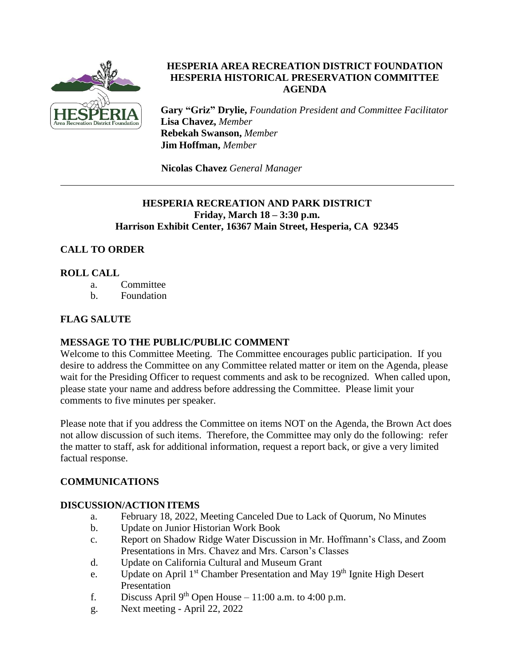

## **HESPERIA AREA RECREATION DISTRICT FOUNDATION HESPERIA HISTORICAL PRESERVATION COMMITTEE AGENDA**

**Gary "Griz" Drylie,** *Foundation President and Committee Facilitator* **Lisa Chavez,** *Member* **Rebekah Swanson,** *Member* **Jim Hoffman,** *Member*

**Nicolas Chavez** *General Manager*

### **HESPERIA RECREATION AND PARK DISTRICT Friday, March 18 – 3:30 p.m. Harrison Exhibit Center, 16367 Main Street, Hesperia, CA 92345**

# **CALL TO ORDER**

## **ROLL CALL**

- a. Committee
- b. Foundation

## **FLAG SALUTE**

### **MESSAGE TO THE PUBLIC/PUBLIC COMMENT**

Welcome to this Committee Meeting. The Committee encourages public participation. If you desire to address the Committee on any Committee related matter or item on the Agenda, please wait for the Presiding Officer to request comments and ask to be recognized. When called upon, please state your name and address before addressing the Committee. Please limit your comments to five minutes per speaker.

Please note that if you address the Committee on items NOT on the Agenda, the Brown Act does not allow discussion of such items. Therefore, the Committee may only do the following: refer the matter to staff, ask for additional information, request a report back, or give a very limited factual response.

### **COMMUNICATIONS**

### **DISCUSSION/ACTION ITEMS**

- a. February 18, 2022, Meeting Canceled Due to Lack of Quorum, No Minutes
- b. Update on Junior Historian Work Book
- c. Report on Shadow Ridge Water Discussion in Mr. Hoffmann's Class, and Zoom Presentations in Mrs. Chavez and Mrs. Carson's Classes
- d. Update on California Cultural and Museum Grant
- e. Update on April 1<sup>st</sup> Chamber Presentation and May 19<sup>th</sup> Ignite High Desert Presentation
- f. Discuss April 9<sup>th</sup> Open House 11:00 a.m. to 4:00 p.m.
- g. Next meeting April 22, 2022